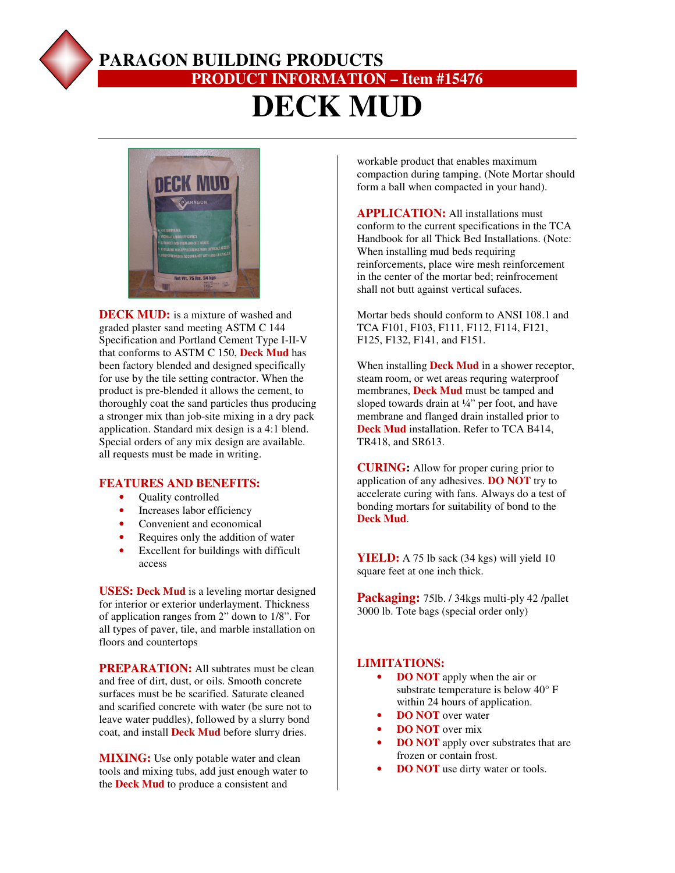

## **PARAGON BUILDING PRODUCTS PRODUCT INFORMATION – Item #15476 DECK MUD**



**DECK MUD:** is a mixture of washed and graded plaster sand meeting ASTM C 144 Specification and Portland Cement Type I-II-V that conforms to ASTM C 150, **Deck Mud** has been factory blended and designed specifically for use by the tile setting contractor. When the product is pre-blended it allows the cement, to thoroughly coat the sand particles thus producing a stronger mix than job-site mixing in a dry pack application. Standard mix design is a 4:1 blend. Special orders of any mix design are available. all requests must be made in writing.

#### **FEATURES AND BENEFITS:**

- Ouality controlled
- Increases labor efficiency
- Convenient and economical
- Requires only the addition of water
- Excellent for buildings with difficult access

**USES: Deck Mud** is a leveling mortar designed for interior or exterior underlayment. Thickness of application ranges from 2" down to 1/8". For all types of paver, tile, and marble installation on floors and countertops

**PREPARATION:** All subtrates must be clean and free of dirt, dust, or oils. Smooth concrete surfaces must be be scarified. Saturate cleaned and scarified concrete with water (be sure not to leave water puddles), followed by a slurry bond coat, and install **Deck Mud** before slurry dries.

**MIXING:** Use only potable water and clean tools and mixing tubs, add just enough water to the **Deck Mud** to produce a consistent and

workable product that enables maximum compaction during tamping. (Note Mortar should form a ball when compacted in your hand).

**APPLICATION:** All installations must conform to the current specifications in the TCA Handbook for all Thick Bed Installations. (Note: When installing mud beds requiring reinforcements, place wire mesh reinforcement in the center of the mortar bed; reinfrocement shall not butt against vertical sufaces.

Mortar beds should conform to ANSI 108.1 and TCA F101, F103, F111, F112, F114, F121, F125, F132, F141, and F151.

When installing **Deck Mud** in a shower receptor, steam room, or wet areas requring waterproof membranes, **Deck Mud** must be tamped and sloped towards drain at ¼" per foot, and have membrane and flanged drain installed prior to **Deck Mud** installation. Refer to TCA B414, TR418, and SR613.

**CURING:** Allow for proper curing prior to application of any adhesives. **DO NOT** try to accelerate curing with fans. Always do a test of bonding mortars for suitability of bond to the **Deck Mud**.

**YIELD:** A 75 lb sack (34 kgs) will yield 10 square feet at one inch thick.

Packaging: 75lb. / 34kgs multi-ply 42 /pallet 3000 lb. Tote bags (special order only)

#### **LIMITATIONS:**

- **DO NOT** apply when the air or substrate temperature is below 40° F within 24 hours of application.
- **DO NOT** over water
- **DO NOT** over mix
- **DO NOT** apply over substrates that are frozen or contain frost.
- **DO NOT** use dirty water or tools.